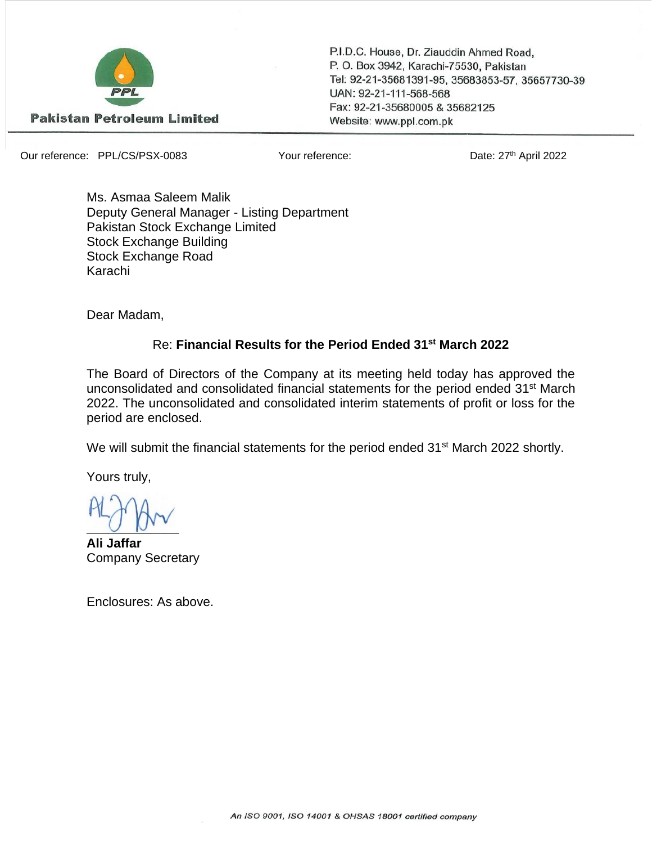

P.I.D.C. House, Dr. Ziauddin Ahmed Road, P. O. Box 3942, Karachi-75530, Pakistan Tel: 92-21-35681391-95, 35683853-57, 35657730-39 UAN: 92-21-111-568-568 Fax: 92-21-35680005 & 35682125 Website: www.ppl.com.pk

Our reference: PPL/CS/PSX-0083 Your reference:

Date: 27th April 2022

Ms. Asmaa Saleem Malik Deputy General Manager - Listing Department Pakistan Stock Exchange Limited Stock Exchange Building Stock Exchange Road Karachi

Dear Madam,

## Re: **Financial Results for the Period Ended 31st March 2022**

The Board of Directors of the Company at its meeting held today has approved the unconsolidated and consolidated financial statements for the period ended 31st March 2022. The unconsolidated and consolidated interim statements of profit or loss for the period are enclosed.

We will submit the financial statements for the period ended 31<sup>st</sup> March 2022 shortly.

Yours truly,

 $U$ 

**Ali Jaffar** Company Secretary

Enclosures: As above.